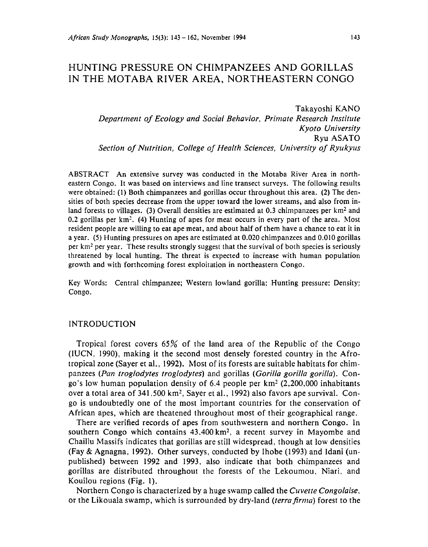# HUNTING PRESSURE ON CHIMPANZEES AND GORILLAS IN THE MOTABA RIVER AREA, NORTHEASTERN CONGO

Takayoshi KANO *Department of Ecology and Social Behavior, Primate Research Institute Kyoto University*  Ryu ASATO *Section of Nutrition, College of Health Sciences, University of Ryukyus* 

ABSTRACT An extensive survey was conducted in the Motaba River Area in northeastern Congo. It was based on interviews and line transect surveys. The following results were obtained: (1) Both chimpanzees and gorillas occur throughout this area. (2) The densities of both species decrease from the upper toward the lower streams, and also from inland forests to villages. (3) Overall densities are estimated at 0.3 chimpanzees per  $km<sup>2</sup>$  and 0.2 gorillas per km<sup>2</sup>. (4) Hunting of apes for meat occurs in every part of the area. Most resident people are willing to eat ape meat, and about half of them have a chance to eat it in a year. (5) Hunting pressures on apes are estimated at 0.020 chimpanzees and 0.010 gorillas per km2 per year. These results strongly suggest that the survival of both species is seriously threatened by local hunting. The threat is expected to increase with human population growth and with forthcoming forest exploitation in northeastern Congo.

Key Words: Central chimpanzee; Western lowland gorilla; Hunting pressure; Density; Congo.

# INTRODUCTION

Tropical forest covers 65% of the land area of the Republic of the Congo (IUCN, 1990}, making it the second most densely forested country in the Afrotropical zone (Sayer et al., 1992). Most of its forests are suitable habitats for chimpanzees *(Pan troglodytes troglodytes)* and gorillas *(Gorilla gorilla gorilla).* Congo's low human population density of 6.4 people per  $km<sup>2</sup>$  (2,200,000 inhabitants over a total area of 341,500 km<sup>2</sup>, Sayer et al., 1992) also favors ape survival. Congo is undoubtedly one of the most important countries for the conservation of African apes, which are theatened throughout most of their geographical range.

There are verified records of apes from southwestern and northern Congo. ln southern Congo which contains  $43,400 \text{ km}^2$ , a recent survey in Mayombe and Chaillu Massifs indicates that gorillas are still widespread, though at low densities (Fay & Agnagna, 1992). Other surveys, conducted by lhobe (1993) and Idani (unpublished) between 1992 and 1993, also indicate that both chimpanzees and gorillas are distributed throughout the forests of the Lekoumou. Niari, and Kouilou regions (Fig. 1).

Northern Congo is characterized by a huge swamp called the *Cuvette Congolaise.*  or the Likouala swamp, which is surrounded by dry-land *(terra firma)* forest to the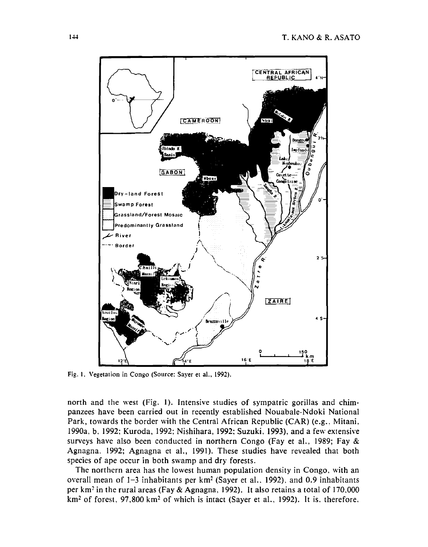

Fig. 1. Vegetation in Congo (Source: Sayer et al., 1992).

north and the west (Fig. 1). Intensive studies of sympatric gorillas and chimpanzees have been carried out in recently established Nouabale-Ndoki National Park, towards the border with the Central African Republic (CAR) (e.g., Mitani, 1990a, b. 1992; Kuroda, 1992: Nishihara, 1992: Suzuki, 1993), and a few extensive surveys have also been conducted in northern Congo (Fay et al., 1989; Fay & Agnagna. 1992; Agnagna et al., 1991). These studies have revealed that both species of ape occur in both swamp and dry forests.

The northern area has the lowest human population density in Congo. with an overall mean of  $1-3$  inhabitants per km<sup>2</sup> (Sayer et al., 1992), and 0.9 inhabitants per km2 in the rural areas (Fay & Agnagna, 1992). It also retains a total of 170.000  $km<sup>2</sup>$  of forest, 97,800 km<sup>2</sup> of which is intact (Sayer et al., 1992). It is. therefore,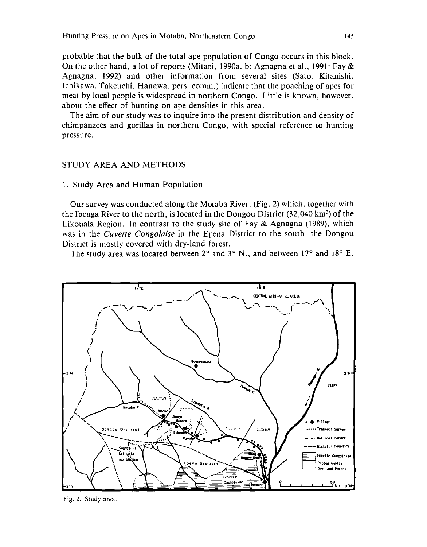probable that the bulk of the total ape population of Congo occurs in this block. On the other hand, a lot of reports (Mitani, 1990a, b; Agnagna et al., 1991; Fay & Agnagna, 1992) and other information from several sites (Sato, Kitanishi, Ichikawa, Takeuchi, Hanawa, pers. comm.) indicate that the poaching of apes for meat by local people is widespread in northern Congo. Little is known, however, about the effect of hunting on ape densities in this area.

The aim of our study was to inquire into the present distribution and density of chimpanzees and gorillas in northern Congo, with special reference to hunting pressure.

# STUDY AREA AND METHODS

#### 1. Study Area and Human Population

Our survey was conducted along the Motaba River, (Fig. 2) which, together with the Ibenga River to the north, is located in the Dongou District (32,040 km<sup>2</sup>) of the Likouala Region. In contrast to the study site of Fay & Agnagna (1989), which was in the *Cuvette Congolaise* in the Epena District to the south, the Dongou District is mostly covered with dry-land forest.

The study area was located between 2° and 3° N., and between 17° and 18° E.



Fig. 2. Study area.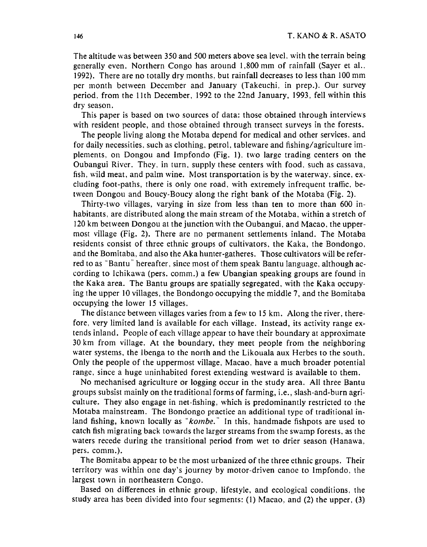The altitude was between 350 and 500 meters above sea level. with the terrain being generally even. Northern Congo has around 1,800 mm of rainfall (Sayer et al.. 1992). There are no totally dry months, but rainfall decreases to less than 100 mm per month between December and January (Takeuchi, in prep.). Our survey period. from the lith December, 1992 to the 22nd January, 1993, fell within this dry season.

This paper is based on two sources of data: those obtained through interviews with resident people, and those obtained through transect surveys in the forests.

The people living along the Motaba depend for medical and other services. and for daily necessities. such as clothing. petrol. tableware and fishing/agriculture implements, on Dongou and Impfondo (Fig. 1). two large trading centers on the Oubangui River. They, in turn, supply these centers with food, such as cassava, fish, wild meat, and palm wine. Most transportation is by the waterway, since,  $ex$ cluding foot-paths, there is only one road. with extremely infrequent traffic. between Dongou and Boucy-Boucy along the right bank of the Motaba (Fig. 2).

Thirty-two villages, varying in size from less than ten to more than 600 inhabitants, are distributed along the main stream of the Motaba, within a stretch of 120 km between Dongou at the junction with the Oubangui, and Macao, the uppermost village (Fig. 2). There are no permanent settlements inland. The Motaba residents consist of three ethnic groups of cultivators. the Kaka, the Bondongo, and the Bomitaba, and also the Aka hunter-gatheres. Those cultivators will be referred to as "Bantu" hereafter, since most of them speak Bantu language, although according to Ichikawa (pers. comm.) a few Ubangian speaking groups are found in the Kaka area. The Bantu groups are spatially segregated, with the Kaka occupying the upper 10 villages, the Bondongo occupying the middle 7, and the Bomitaba occupying the lower 15 villages.

The distance between villages varies from a few to 15 km. Along the river. therefore. very limited land is available for each village. Instead, its activity range extends inland. People of each village appear to have their boundary at approximate 30 km from village. At the boundary, they meet people from the neighboring water systems, the Ibenga to the north and the Likouala aux Herbes to the south. Only the people of the uppermost village, Macao, have a much broader potential range, since a huge uninhabited forest extending westward is available to them.

No mechanised agriculture or logging occur in the study area. All three Bantu groups subsist mainly on the traditional forms of farming, i.e., slash-and-burn agriculture. They also engage in net-fishing, which is predominantly restricted to the Motaba mainstream. The Bondongo practice an additional type of traditional inland fishing, known locally as "kombe." In this, handmade fishpots are used to catch fish migrating back towards the larger streams from the swamp forests, as the waters recede during the transitional period from wet to drier season (Hanawa, pers. comm.).

The Bomitaba appear to be the most urbanized of the three ethnic groups. Their territory was within one day's journey by motor-driven canoe to Impfondo, the largest town in northeastern Congo.

Based on differences in ethnic group, lifestyle, and ecological conditions, the study area has been divided into four segments: (1) Macao, and (2) the upper, (3)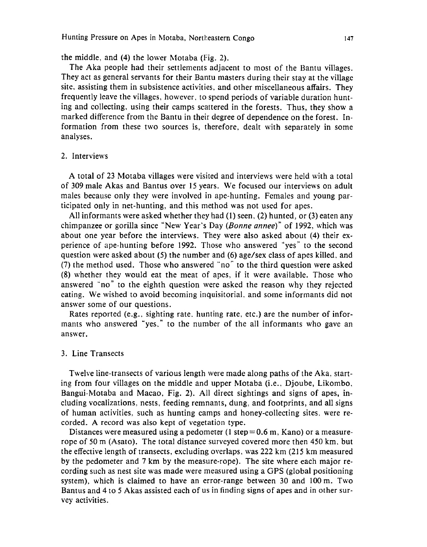the middle, and (4) the lower Motaba (Fig. 2).

The Aka people had their settlements adjacent to most of the Bantu villages. They act as general servants for their Bantu masters during their stay at the village site, assisting them in subsistence activities, and other miscellaneous affairs. They frequently leave the villages, however. to spend periods of variable duration hunting and collecting, using their camps scattered in the forests. Thus, they show a marked difference from the Bantu in their degree of dependence on the forest. Information from these two sources is, therefore, dealt with separately in some analyses.

### 2. Interviews

A total of 23 Motaba villages were visited and interviews were held with a total of 309 male Akas and Bantus over 15 years. We focused our interviews on adult males because only they were involved in ape-hunting. Females and young participated only in net-hunting, and this method was not used for apes.

All informants were asked whether they had (1) seen, (2) hunted, or (3) eaten any chimpanzee or gorilla since "New Year's Day (*Bonne annee*)" of 1992, which was about one year before the interviews. They were also asked about (4) their experience of ape-hunting before 1992. Those who answered ''yes" to the second question were asked about (5) the number and (6) age/sex class of apes killed. and (7) the method used. Those who answered "no'' to the third question were asked (8) whether they would eat the meat of apes, if it were available. Those who answered "no" to the eighth question were asked the reason why they rejected eating. We wished to avoid becoming inquisitorial, and some informants did not answer some of our questions.

Rates reported (e.g., sighting rate, hunting rate, etc.) are the number of informants who answered "yes," to the number of the all informants who gave an answer.

### 3. Line Transects

Twelve line-transects of various length were made along paths of the Aka, starting from four villages on the middle and upper Motaba (i.e., Djoube, Likombo, Bangui-Motaba and Macao, Fig. 2). All direct sightings and signs of apes, including vocalizations. nests, feeding remnants, dung, and footprints, and all signs of human activities. such as hunting camps and honey-collecting sites. were recorded. A record was also kept of vegetation type.

Distances were measured using a pedometer  $(1 \text{ step} = 0.6 \text{ m}, \text{Kano})$  or a measurerope of 50 m (Asato). The total distance surveyed covered more then 450 km, but the effective length of transects, excluding overlaps, was 222 km (215 km measured by the pedometer and 7 km by the measure-rope). The site where each major recording such as nest site was made were measured using a GPS (global positioning system), which is claimed to have an error-range between 30 and 100m. Two Bantus and 4 to 5 Akas assisted each of us in finding signs of apes and in other survey activities.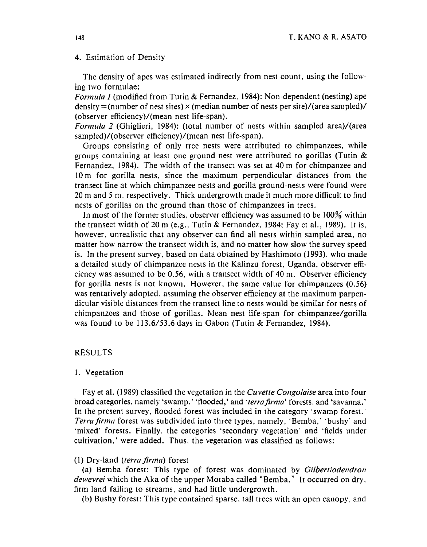#### 4. Estimation of Density

The density of apes was estimated indirectly from nest count, using the following two formulae:

*Formula 1* (modified from Tutin & Fernandez. 1984): Non-dependent (nesting) ape density  $=($ number of nest sites)  $\times$  (median number of nests per site)/(area sampled)/ (observer efficiency)/(mean nest life-span).

*Formula 2* (Ghiglieri, 1984): (total number of nests within sampled area)/(area sampled)/(observer efficiency)/(mean nest life-span).

Groups consisting of only tree nests were attributed to chimpanzees, while groups containing at least one ground nest were attributed to gorillas (Turin & Fernandez, 1984). The width of the transect was set at 40 m for chimpanzee and lO m for gorilla nests, since the maximum perpendicular distances from the transect line at which chimpanzee nests and gorilla ground-nests were found were 20m and 5 m, respectively. Thick undergrowth made it much more difficult to find nests of gorillas on the ground than those of chimpanzees in trees.

In most of the former studies, observer efficiency was assumed to be  $100\%$  within the transect width of 20m (e.g., Tutin & Fernandez, 1984; Fay et al., 1989). It is. however, unrealistic that any observer can find all nests within sampled area, no matter how narrow the transect width is, and no matter how slow the survey speed is. In the present survey, based on data obtained by Hashimoto (1993). who made a detailed study of chimpanzee nests in the Kalinzu forest, Uganda, observer efficiency was assumed to be 0.56, with a transect width of 40 m. Observer efficiency for gorilla nests is not known. However. the same value for chimpanzees (0.56) was tentatively adopted. assuming the observer efficiency at the maximum parpendicular visible distances from the transect line to nests would be similar for nests of chimpanzees and those of gorillas. Mean nest life-span for chimpanzee/gorilla was found to be 113.6/53.6 days in Gabon (Tutin & Fernandez, 1984).

### RESULTS

#### I. Vegetation

Fay et al. (1989) classified the vegetation in the *Cuvette Congolaise* area into four broad categories, namely 'swamp,' 'flooded,' and *'terra firma'* forests, and 'savanna.' In the present survey, flooded forest was included in the category 'swamp forest.' *Terra firma* forest was subdivided into three types, namely, 'Bemba,' 'bushy' and 'mixed" forests. Finally, the categories 'secondary vegetation' and ·fields under cultivation,' were added. Thus. the vegetation was classified as follows:

### (1) Dry-land *(terra firma)* forest

(a) Bemba forest: This type of forest was dominated by *Gi/bertiodendron dewevrei* which the Aka of the upper Motaba called "Bemba." It occurred on dry, firm land falling to streams, and had little undergrowth.

(b) Bushy forest: This type contained sparse. tall trees with an open canopy. and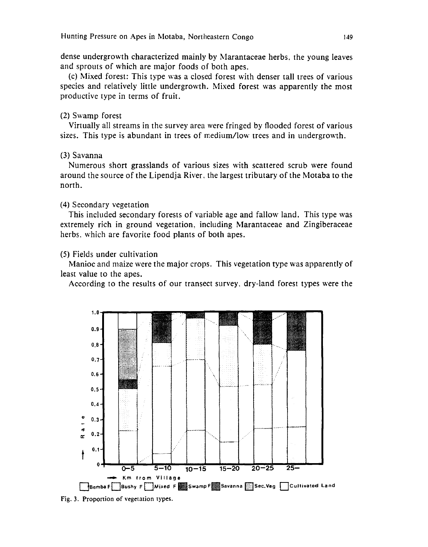dense undergrowth characterized mainly by Marantaceae herbs, the young leaves and sprouts of which are major foods of both apes.

(c) Mixed forest: This type was a closed forest with denser tall trees of various species and relatively little undergrowth. Mixed forest was apparently the most productive type in terms of fruit.

# (2) Swamp forest

Virtually all streams in the survey area were fringed by flooded forest of various sizes. This type is abundant in trees of medium/low trees and in undergrowth.

# (3) Savanna

Numerous short grasslands of various sizes with scattered scrub were found around the source of the Lipendja River, the largest tributary of the Motaba to the north.

# (4) Secondary vegetation

This included secondary forests of variable age and fallow land. This type was extremely rich in ground vegetation, including Marantaceae and Zingiberaceae herbs. which are favorite food plants of both apes.

# (5) Fields under cultivation

Manioc and maize were the major crops. This vegetation type was apparently of least value to the apes.

According to the results of our transect survey, dry-land forest types were the



Fig. 3. Proportion of vegetation types.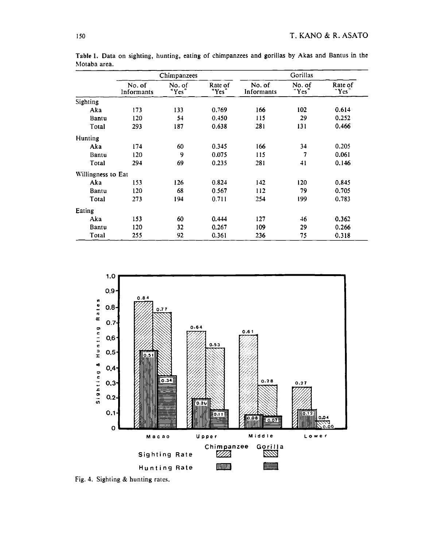|                    | Chimpanzees          |                 |                  | Gorillas             |                 |                  |  |
|--------------------|----------------------|-----------------|------------------|----------------------|-----------------|------------------|--|
|                    | No. of<br>Informants | No. of<br>"Yes" | Rate of<br>"Yes" | No. of<br>Informants | No. of<br>"Yes" | Rate of<br>"Yes" |  |
| Sighting           |                      |                 |                  |                      |                 |                  |  |
| Aka                | 173                  | 133             | 0.769            | 166                  | 102             | 0.614            |  |
| Bantu              | 120                  | 54              | 0.450            | 115                  | 29              | 0.252            |  |
| Total              | 293                  | 187             | 0.638            | 281                  | 131             | 0.466            |  |
| Hunting            |                      |                 |                  |                      |                 |                  |  |
| Aka                | 174                  | 60              | 0.345            | 166                  | 34              | 0.205            |  |
| Bantu              | 120                  | 9               | 0.075            | 115                  | 7               | 0.061            |  |
| Total              | 294                  | 69              | 0.235            | 281                  | 41              | 0.146            |  |
| Willingness to Eat |                      |                 |                  |                      |                 |                  |  |
| Aka                | 153                  | 126             | 0.824            | 142                  | 120             | 0.845            |  |
| Bantu              | 120                  | 68              | 0.567            | 112                  | 79              | 0.705            |  |
| Total              | 273                  | 194             | 0.711            | 254                  | 199             | 0.783            |  |
| Eating             |                      |                 |                  |                      |                 |                  |  |
| Aka                | 153                  | 60              | 0.444            | 127                  | 46              | 0.362            |  |
| Bantu              | 120                  | 32              | 0.267            | 109                  | 29              | 0.266            |  |
| Total              | 255                  | 92              | 0.361            | 236                  | 75              | 0.318            |  |

Table 1. Data on sighting, hunting, eating of chimpanzees and gorillas by Akas and Bantus in the Motaba area.



Fig. 4. Sighting & hunting rates.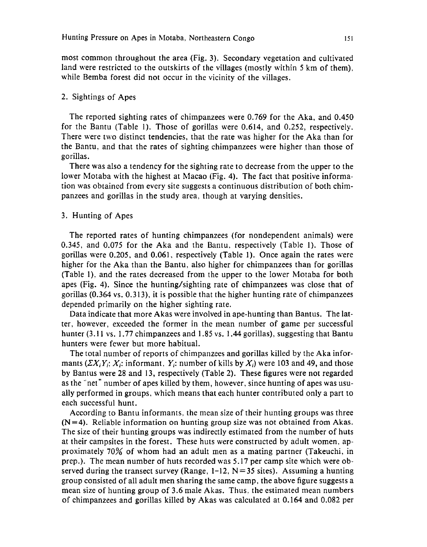most common throughout the area (Fig. 3). Secondary vegetation and cultivated land were restricted to the outskirts of the villages (mostly within 5 km of them), while Bemba forest did not occur in the vicinity of the villages.

### 2. Sightings of Apes

The reported sighting rates of chimpanzees were 0.769 for the Aka, and 0.450 for the Bantu (Table 1). Those of gorillas were 0.614, and 0.252, respectively. There were two distinct tendencies, that the rate was higher for the Aka than for the Bantu, and that the rates of sighting chimpanzees were higher than those of gorillas.

There was also a tendency for the sighting rate to decrease from the upper to the lower Motaba with the highest at Macao (Fig. 4). The fact that positive information was obtained from every site suggests a continuous distribution of both chimpanzees and gorillas in the study area, though at varying densities.

### 3. Hunting of Apes

The reported rates of hunting chimpanzees (for nondependent animals) were 0.345, and 0.075 for the Aka and the Bantu, respectively (Table 1). Those of gorillas were 0.205, and 0.061, respectively (Table 1). Once again the rates were higher for the Aka than the Bantu, also higher for chimpanzees than for gorillas (Table 1). and the rates decreased from the upper to the lower Motaba for both apes (Fig. 4). Since the hunting/sighting rate of chimpanzees was close that of gorillas (0.364 vs. 0.313), it is possible that the higher hunting rate of chimpanzees depended primarily on the higher sighting rate.

Data indicate that more Akas were involved in ape-hunting than Bantus. The latter, however, exceeded the former in the mean number of game per successful hunter (3.11 vs. 1.77 chimpanzees and 1.85 vs. 1.44 gorillas), suggesting that Bantu hunters were fewer but more habitual.

The total number of reports of chimpanzees and gorillas killed by the Aka informants  $(\Sigma X_i Y_i; X_i;$  informant,  $Y_i$ ; number of kills by  $X_i$ ) were 103 and 49, and those by Bantus were 28 and 13, respectively (Table 2). These figures \vere not regarded as the "net" number of apes killed by them, however, since hunting of apes was usually performed in groups, which means that each hunter contributed only a part to each successful hunt.

According to Bantu informants. the mean size of their hunting groups was three  $(N=4)$ . Reliable information on hunting group size was not obtained from Akas. The size of their hunting groups was indirectly estimated from the number of huts at their campsites in the forest. These huts were constructed by adult women, approximately 70% of whom had an adult men as a mating partner (Takeuchi, in prep.). The mean number of huts recorded was 5.17 per camp site which were observed during the transect survey (Range,  $1-12$ , N=35 sites). Assuming a hunting group consisted of all adult men sharing the same camp, the above figure suggests a mean size of hunting group of 3.6 male Akas. Thus. the estimated mean numbers of chimpanzees and gorillas killed by Akas was calculated at 0.164 and 0.082 per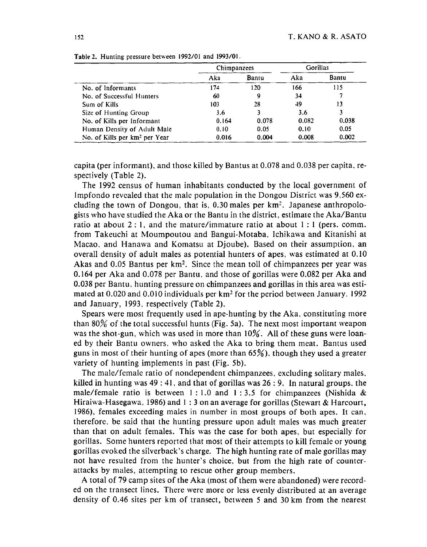|                                           | Chimpanzees |       | Gorillas |       |  |
|-------------------------------------------|-------------|-------|----------|-------|--|
|                                           | Aka         | Bantu | Aka      | Bantu |  |
| No. of Informants                         | 174         | 120   | 166      | 115   |  |
| No. of Successful Hunters                 | 60          | 9     | 34       |       |  |
| Sum of Kills                              | 103         | 28    | 49       | 13    |  |
| Size of Hunting Group                     | 3.6         |       | 3.6      |       |  |
| No. of Kills per Informant                | 0.164       | 0.078 | 0.082    | 0.038 |  |
| Human Density of Adult Male               | 0.10        | 0.05  | 0.10     | 0.05  |  |
| No. of Kills per km <sup>2</sup> per Year | 0.016       | 0.004 | 0.008    | 0.002 |  |

Table 2. Hunting pressure between 1992/01 and 1993/01.

capita (per informant). and those killed by Bantus at 0.078 and 0.038 per capita, respectively (Table 2).

The I 992 census of human inhabitants conducted by the local government of lmpfondo revealed that the male population in the Dongou District was 9,560 excluding the town of Dongou, that is,  $0.30$  males per  $km^2$ . Japanese anthropologists who have studied the Aka or the Bantu in the district, estimate the Aka/Bantu ratio at about  $2:1$ , and the mature/immature ratio at about  $1:1$  (pers. comm. from Takeuchi at Moumpoutou and Bangui-Motaba, Ichikawa and Kitanishi at Macao. and Hanawa and Komatsu at Djoube). Based on their assumption. an overall density of adult males as potential hunters of apes, was estimated at 0.10 Akas and  $0.05$  Bantus per  $km^2$ . Since the mean toll of chimpanzees per year was 0.164 per Aka and 0.078 per Bantu. and those of gorillas were 0.082 per Aka and 0.038 per Bantu. hunting pressure on chimpanzees and gorillas in this area was estimated at 0.020 and 0.010 individuals per km2 for the period between January. 1992 and January, 1993, respectively (Table 2).

Spears were most frequently used in ape-hunting by the Aka. constituting more than  $80\%$  of the total successful hunts (Fig. 5a). The next most important weapon was the shot-gun, which was used in more than 10%. All of these guns were loaned by their Bantu owners. who asked the Aka to bring them meat. Bantus used guns in most of their hunting of apes (more than  $65\%$ ), though they used a greater variety of hunting implements in past (Fig. 5b).

The male/female ratio of nondependent chimpanzees, excluding solitary males. killed in hunting was  $49:41$ , and that of gorillas was  $26:9$ . In natural groups, the male/female ratio is between 1:1.0 and 1:3.5 for chimpanzees (Nishida  $\&$ Hiraiwa-Hasegawa. 1986) and 1 : 3 on an average for gorillas (Stewart & Harcourt, 1986), females exceeding males in number in most groups of both apes. It can. therefore. be said that the hunting pressure upon adult males was much greater than that on adult females. This was the case for both apes, but especially for gorillas. Some hunters reported that most of their attempts to kill female or young gorillas evoked the silverback 's charge. The high hunting rate of male gorillas may not have resulted from the hunter's choice. but from the high rate of counterattacks by males, attempting to rescue other group members.

A total of 79 camp sites of the Aka (most of them were abandoned) were recorded on the transect lines. There were more or less evenly distributed at an average density of 0.46 sites per km of transect, between *5* and 30 km from the nearest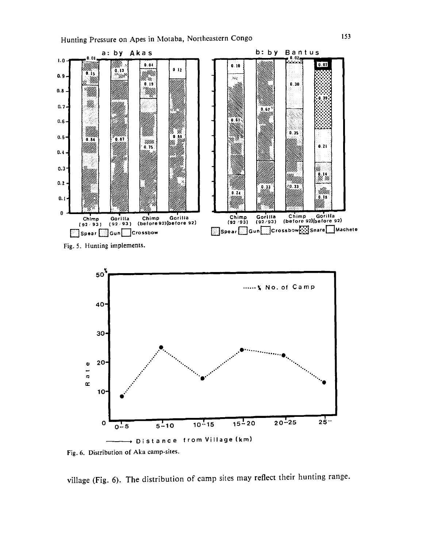



Fig. 6. Distribution of Aka camp-sites.

village (Fig. 6). The distribution of camp sites may reflect their hunting range.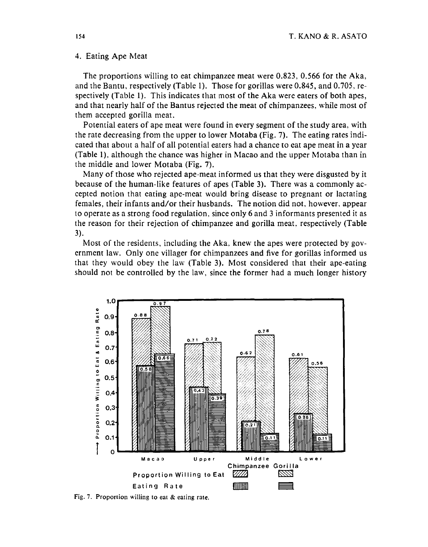#### 4. Eating Ape Meat

The proportions willing to eat chimpanzee meat were 0.823, 0.566 for the Aka, and the Bantu, respectively (Table 1). Those for gorillas were 0.845, and 0.705. respectively (Table 1). This indicates that most of the Aka were eaters of both apes, and that nearly half of the Bantus rejected the meat of chimpanzees, while most of them accepted gorilla meat.

Potential eaters of ape meat were found in every segment of the study area, with the rate decreasing from the upper to lower Motaba (Fig. 7). The eating rates indicated that about a half of all potential eaters had a chance to eat ape meat in a year (Table 1), although the chance was higher in Macao and the upper Motaba than in the middle and lower Motaba (Fig. 7).

Many of those \vho rejected ape-meat informed us that they were disgusted by it because of the human-like features of apes (Table 3). There was a commonly accepted notion that eating ape-meat would bring disease to pregnant or lactating females, their infants and/or their husbands. The notion did not, however. appear to operate as a strong food regulation, since only 6 and 3 informants presented it as the reason for their rejection of chimpanzee and gorilla meat, respectively (Table 3).

Most of the residents, including the Aka. knew the apes were protected by government law. Only one villager for chimpanzees and five for gorillas informed us that they would obey the law (Table 3). Most considered that their ape-eating should not be controlled by the law, since the former had a much longer history



Fig. 7. Proportion willing to ear & eating rate.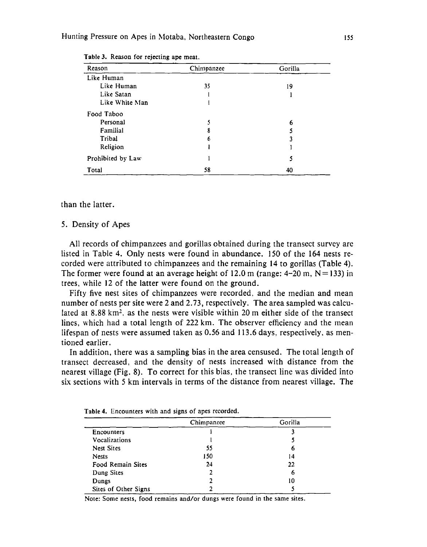| Reason            | Chimpanzee | Gorilla |
|-------------------|------------|---------|
| Like Human        |            |         |
| Like Human        | 35         | 19      |
| Like Satan        |            |         |
| Like White Man    |            |         |
| Food Taboo        |            |         |
| Personal          |            | 6       |
| Familial          | 8          |         |
| Tribal            | 6          |         |
| Religion          |            |         |
| Prohibited by Law |            | 5       |
| Total             | 58         | 40      |

Table 3. Reason for rejecting ape meat.

#### than the latter.

#### 5. Density of Apes

All records of chimpanzees and gorillas obtained during the transect survey are listed in Table 4. Only nests were found in abundance. 150 of the 164 nests recorded were attributed to chimpanzees and the remaining **14** to gorillas (Table 4). The former were found at an average height of 12.0 m (range:  $4-20$  m,  $N=133$ ) in trees, while 12 of the latter were found on the ground.

Fifty five nest sites of chimpanzees were recorded. and the median and mean number of nests per site were 2 and 2. 73, respectively. The area sampled was calculated at 8.88  $km^2$ , as the nests were visible within 20 m either side of the transect lines, which had a total length of 222 km. The observer efficiency and the mean lifespan of nests were assumed taken as 0.56 and 113.6 days, respectively, as mentioned earlier.

In addition, there was a sampling bias in the area censused. The total length of transect decreased, and the density of nests increased with distance from the nearest village (Fig. 8). To correct for this bias, the transect line was divided into six sections with 5 km intervals in terms of the distance from nearest village. The

|                      | Chimpanzee | Gorilla |
|----------------------|------------|---------|
| Encounters           |            |         |
| Vocalizations        |            |         |
| <b>Nest Sites</b>    | 55         | o       |
| <b>Nests</b>         | 150        | 14      |
| Food Remain Sites    | 24         | 22      |
| Dung Sites           | 2          | O       |
| Dungs                |            | 10      |
| Sites of Other Signs |            |         |

Table **4.** Encounters with and signs of apes recorded.

Note: Some nests, food remains and/or dungs were found in the same sites.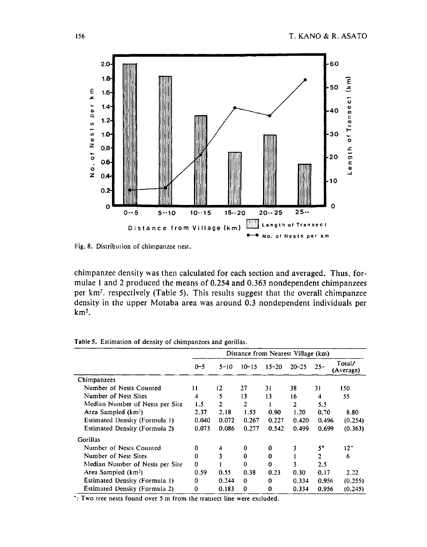

Fig. 8. Distribution of chimpanzee nest.

chimpanzee density was then calculated for each section and averaged. Thus, formulae 1 and 2 produced the means of 0.254 and 0.363 nondependent chimpanzees per km<sup>2</sup>, respectively (Table 5). This results suggest that the overall chimpanzee density in the upper Motaba area was around 0.3 nondependent individuals per  $km<sup>2</sup>$ .

|                                 | Distance from Nearest Village (km) |          |           |           |           |        |                     |
|---------------------------------|------------------------------------|----------|-----------|-----------|-----------|--------|---------------------|
|                                 | $0 - 5$                            | $5 - 10$ | $10 - 15$ | $15 - 20$ | $20 - 25$ | $25 -$ | Total/<br>(Average) |
| Chimpanzees                     |                                    |          |           |           |           |        |                     |
| Number of Nests Counted         | 11                                 | 12       | 27        | 31        | 38        | 31     | 150                 |
| Number of Nest Sites            | 4                                  | 5        | 13        | 13        | 16        | 4      | 55                  |
| Median Number of Nests per Site | 1.5                                | 2        | 2         |           | 2         | 5.5    |                     |
| Area Sampled (km <sup>2</sup> ) | 2.37                               | 2.18     | 1.53      | 0.90      | 1.20      | 0.70   | 8.80                |
| Estimated Density (Formula 1)   | 0.040                              | 0.072    | 0.267     | 0.227     | 0.420     | 0.496  | (0.254)             |
| Estimated Density (Formula 2)   | 0.073                              | 0.086    | 0.277     | 0.542     | 0.499     | 0.699  | (0.363)             |
| Gorillas                        |                                    |          |           |           |           |        |                     |
| Number of Nests Counted         | 0                                  | 4        | 0         | 0         |           | 5*     | $12^*$              |
| Number of Nest Sites            | 0                                  |          | 0         | 0         |           | 2      | 6                   |
| Median Number of Nests per Site | 0                                  |          | 0         | 0         | 3         | 2.5    |                     |
| Area Sampled (km <sup>2</sup> ) | 0.59                               | 0.55     | 0.38      | 0.23      | 0.30      | 0.17   | 2.22                |
| Estimated Density (Formula 1)   | n                                  | 0.244    | 0         | 0         | 0.334     | 0.956  | (0.255)             |
| Estimated Density (Formula 2)   | 0                                  | 0.183    | 0         | 0         | 0.334     | 0.956  | (0.245)             |
| .                               |                                    | $\cdots$ |           | $\cdots$  |           |        |                     |

Table 5. Estimation of density of chimpanzees and gorillas.

: Two tree nests found over 5 m from the transect line were excluded.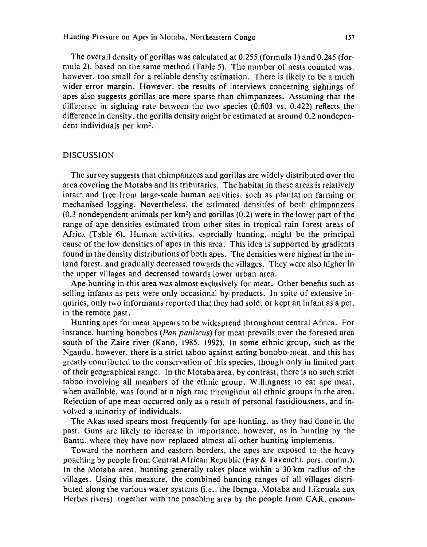The overall density of gorillas was calculated at 0.255 (formula 1) and 0.245 (formula 2), based on the same method (Table 5). The number of nests counted was. however. too small for a reliable density estimation. There is likely to be a much wider error margin. However. the results of interviews concerning sightings of apes also suggests gorillas are more sparse than chimpanzees. Assuming that the difference in sighting rate between the two species (0.603 vs. 0.422) reflects the difference in density, the gorilla density might be estimated at around 0.2 nondependent individuals per km<sup>2</sup>.

### DISCUSSION

The survey suggests that chimpanzees and gorillas are widely distributed over the area covering the Motaba and its tributaries. The habitat in these areas is relatively intact and free from large-scale human activities, such as plantation farming or mechanised logging. Nevertheless, the estimated densities of both chimpanzees (0.3 nondependent animals per  $km^2$ ) and gorillas (0.2) were in the lower part of the range of ape densities estimated from other sites in tropical rain forest areas of Africa (Table 6). Human activities, especially hunting, might be the principal cause of the low densities of apes in this area. This idea is supported by gradients found in the density distributions of both apes. The densities were highest in the inland forest, and gradually decreased towards the villages. They were also higher in the upper villages and decreased towards lower urban area.

Ape-hunting in this area was almost exclusively for meat. Other benefits such as selling infants as pets were only occasional by-products. In spite of extensive inquiries, only two informants reported that they had sold, or kept an infant as a pet, in the remote past.

Hunting apes for meat appears to be widespread throughout central Africa. For instance. hunting bonobos (*Pan paniscus*) for meat prevails over the forested area south of the Zaire river (Kano, 1985. 1992). In some ethnic group, such as the Ngandu. however. there is a strict taboo against eating bonobo-meat. and this has greatly contributed to the conservation of this species. though only in limited part of their geographical range. In the Motaba area, by contrast, there is no such strict taboo involving all members of the ethnic group. Willingness to eat ape meat. when available, was found at a high rate throughout all ethnic groups in the area. Rejection of ape meat occurred only as a result of personal fastidiousness, and involved a minority of individuals.

The Akas used spears most frequently for ape-hunting. as they had done in the past. Guns are likely to increase in importance, however, as in hunting by the Bantu. where they have now replaced almost all other hunting implements.

Toward the northern and eastern borders, the apes are exposed to the heavy poaching by people from Central African Republic (Fay & Takeuchi. pers. comm.). In the Motaba area. hunting generally takes place within a 30 km radius of the villages. Using this measure, the combined hunting ranges of all villages distributed along the various water systems (i.e., the lbenga. Motaba and Likouala aux Herbes rivers), together with the poaching area by the people from CAR, encom-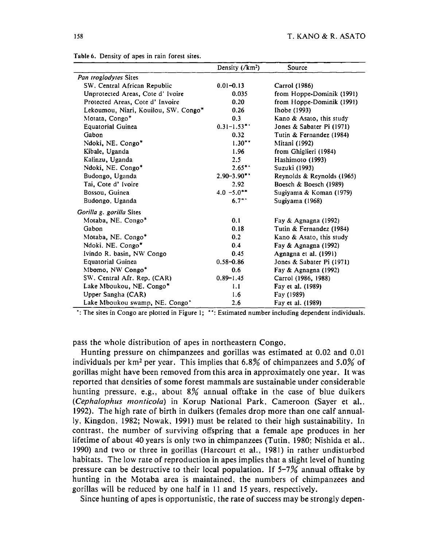|                                      | Density $(\sqrt{km^2})$ | Source                     |
|--------------------------------------|-------------------------|----------------------------|
| Pan troglodytes Sites                |                         |                            |
| SW. Central African Republic         | $0.01 - 0.13$           | Carrol (1986)              |
| Unprotected Areas, Cote d' Ivoire    | 0.035                   | from Hoppe-Dominik (1991)  |
| Protected Areas, Cote d' Invoire     | 0.20                    | from Hoppe-Dominik (1991)  |
| Lekoumou, Niari, Kouilou, SW. Congo* | 0.26                    | Ihobe (1993)               |
| Motata, Congo*                       | 0.3                     | Kano & Asato, this study   |
| <b>Equatorial Guinea</b>             | $0.31 - 1.53$ **        | Jones & Sabater Pi (1971)  |
| Gabon                                | 0.32                    | Tutin & Fernandez (1984)   |
| Ndoki, NE. Congo*                    | $1.30**$                | Mitani (1992)              |
| Kibale, Uganda                       | 1.96                    | from Ghiglieri (1984)      |
| Kalinzu, Uganda                      | 2.5                     | Hashimoto (1993)           |
| Ndoki, NE. Congo*                    | $2.65***$               | Suzuki (1993)              |
| Budongo, Uganda                      | $2.90 - 3.90$ **        | Reynolds & Reynolds (1965) |
| Tai, Cote d'Ivoire                   | 2.92                    | Boesch & Boesch (1989)     |
| Bossou, Guinea                       | $4.0 - 5.0^{**}$        | Sugiyama & Koman (1979)    |
| Budongo, Uganda                      | $6.7^{**}$              | Sugiyama (1968)            |
| Gorilla g. gorilla Sites             |                         |                            |
| Motaba, NE. Congo*                   | 0.1                     | Fay & Agnagna (1992)       |
| Gabon                                | 0.18                    | Tutin & Fernandez (1984)   |
| Motaba, NE. Congo*                   | 0.2                     | Kano & Asato, this study   |
| Ndoki, NE. Congo*                    | 0.4                     | Fay & Agnagna (1992)       |
| Ivindo R. basin, NW Congo            | 0.45                    | Agnagna et al. (1991)      |
| <b>Equatorial Guinea</b>             | $0.58 - 0.86$           | Jones & Sabater Pi (1971)  |
| Mbomo, NW Congo*                     | 0.6                     | Fay & Agnagna (1992)       |
| SW. Central Afr. Rep. (CAR)          | $0.89 - 1.45$           | Carrol (1986, 1988)        |
| Lake Mboukou, NE. Congo*             | 1.1                     | Fay et al. (1989)          |
| Upper Sangha (CAR)                   | 1.6                     | Fay (1989)                 |
| Lake Mboukou swamp, NE. Congo'       | 2.6                     | Fay et al. (1989)          |

Table 6. Density of apes in rain forest sites.

·:The sites in Congo are plotted in Figure 1; ":Estimated number including dependent individuals.

pass the whole distribution of apes in northeastern Congo.

Hunting pressure on chimpanzees and gorillas was estimated at 0.02 and 0.01 individuals per km<sup>2</sup> per year. This implies that 6.8% of chimpanzees and 5.0% of gorillas might have been removed from this area in approximately one year. It was reported that densities of some forest mammals are sustainable under considerable hunting pressure, e.g., about  $8\%$  annual offtake in the case of blue duikers *(Cepha/ophus monticola)* in Korup National Park, Cameroon (Sayer et al.. 1992). The high rate of birth in duikers (females drop more than one calf annually, Kingdon, 1982; Nowak, 1991) must be related to their high sustainability. In contrast, the number of surviving offspring that a female ape produces in her lifetime of about 40 years is only two in chimpanzees (Tutin, 1980: Nishida et al.. 1990) and two or three in gorillas (Harcourt et al., 1981) in rather undisturbed habitats. The low rate of reproduction in apes implies that a slight level of hunting pressure can be destructive to their local population. If  $5-7\%$  annual offtake by hunting in the Motaba area is maintained. the numbers of chimpanzees and gorillas will be reduced by one half in II and 15 years, respectively.

Since hunting of apes is opportunistic, the rate of success may be strongly depen-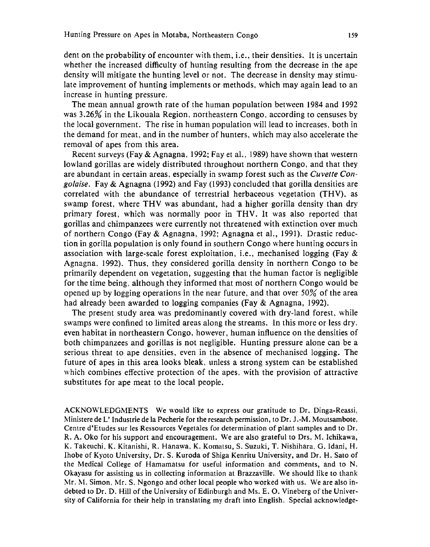dent on the probability of encounter with them, i.e., their densities. It is uncertain whether the increased difficulty of hunting resulting from the decrease in the ape density will mitigate the hunting level or not. The decrease in density may stimulate improvement of hunting implements or methods, which may again lead to an increase in hunting pressure.

The mean annual growth rate of the human population between 1984 and 1992 was 3.26% in the Likouala Region. northeastern Congo, according to censuses by the local government. The rise in human population will lead to increases, both in the demand for meat, and in the number of hunters, which may also accelerate the removal of apes from this area.

Recent surveys (Fay & Agnagna, 1992; Fay et al., 1989) have shown that western lowland gorillas are widely distributed throughout northern Congo, and that they are abundant in certain areas, especially in swamp forest such as the *Cuvette Congolaise.* Fay & Agnagna (1992) and Fay (1993) concluded that gorilla densities are correlated with the abundance of terrestrial herbaceous vegetation (THV), as swamp forest, where THV was abundant, had a higher gorilla density than dry primary forest, which was normally poor in THV. It was also reported that gorillas and chimpanzees were currently not threatened with extinction over much of northern Congo (Fay & Agnagna, 1992; Agnagna et al., 1991). Drastic reduction in gorilla population is only found in southern Congo where hunting occurs in association with large-scale forest exploitation, i.e., mechanised logging (Fay  $\&$ Agnagna. 1992). Thus, they considered gorilla density in northern Congo to be primarily dependent on vegetation, suggesting that the human factor is negligible for the time being. although they informed that most of northern Congo would be opened up by logging operations in the near future, and that over 50% of the area had already been awarded to logging companies (Fay & Agnagna, 1992).

The present study area was predominantly covered with dry-land forest, while swamps were confined to limited areas along the streams. In this more or less dry. even habitat in northeastern Congo, however, human influence on the densities of both chimpanzees and gorillas is not negligible. Hunting pressure alone can be a serious threat to ape densities, even in the absence of mechanised logging. The future of apes in this area looks bleak. unless a strong system can be established which combines effective protection of the apes. with the provision of attractive substitutes for ape meat to the local people.

ACKNOWLEDGMENTS We would like to express our gratitude to Dr. Dinga-Reassi, l'vlinistere deL' Industrie de Ia Pecherie for the research permission, to Dr. J .-M. Moutsambote, Centre d'Etudes sur les Ressources Vegetales for determination of plant samples and to Dr. R. A. Oko for his support and encouragement. We are also grateful to Drs. M. Ichikawa, K. Takeuchi. K. Kitanishi, R. Hanawa. K. Komatsu, S. Suzuki, T. Nishihara, G. ldani, H. Ihobe of Kyoto University, Dr. S. Kuroda of Shiga Kenritu University, and Dr. H. Sato of the Medical College of Hamamatsu for useful information and comments, and to N. Okayasu for assisting us in collecting information at Brazzaville. We should like to thank Mr. M. Simon, Mr. S. Ngongo and other local people who worked with us. We are also indebted to Dr. D. Hill of the University of Edinburgh and Ms. E. O. Vineberg of the University of California for their help in translating my draft into English. Special acknowledge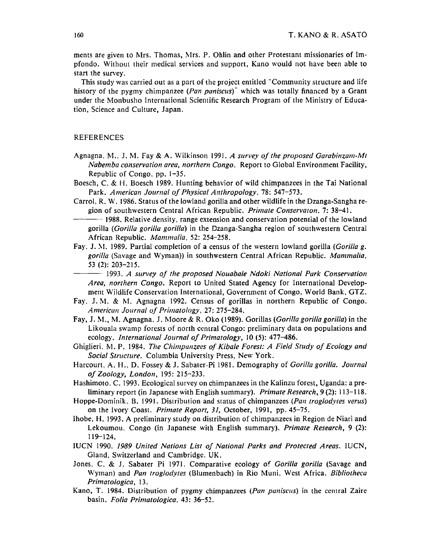ments are given to Mrs. Thomas, Mrs. P. Ohlin and other Protestant missionaries of Impfondo. Without their medical services and support, Kano would not have been able to start the survey.

This study was carried out as a part of the project entitled "Community structure and life history of the pygmy chimpanzee (*Pan paniscus*)<sup>-</sup> which was totally financed by a Grant under the Monbusho International Scientific Research Program of the Ministry of Education, Science and Culture, Japan.

#### REFERENCES

- Agnagna, M., J. M. Fay & A. Wilkinson 1991. *A survey of the proposed Garabinzam-Mt Nabemba conservation area, northern Congo.* Report to Global Environment Facility, Republic of Congo, pp. 1-35.
- Boesch, C. & H. Boesch 1989. Hunting behavior of wild chimpanzees in the Tai National Park. *American Journal of Physical Anthropology.* 78: 547-573.
- Carrol, R. W. 1986. Status of the lowland gorilla and other wildlife in the Dzanga-Sangha region of southwestern Central African Republic. *Primate Conservaton,* 7: 38-41.
- $-$  1988. Relative density, range extension and conservation potential of the lowland gorilla *(Gorilla gorilla gorilla)* in the Dzanga-Sangha region of southwestern Central African Republic. *Mammalia,* 52: 254-258.
- Fay. J. M. 1989. Partial completion of a census of the western lowland gorilla *(Gorilla g. gorilla* (Savage and Wyman)) in southwestern Central African Republic. *Mammalia,*  53 (2): 203-215.
	- --- 1993. *A survey of the proposed Nouabale Ndoki National Park Conservation Area, northern Congo.* Report to United Stated Agency for International Development Wildlife Conservation International, Government of Congo, World Bank, GTZ.
- Fay. J. M. & M. Agnagna 1992. Census of gorillas in northern Republic of Congo. *American Journal of Primatology,* 27: 275-284.
- Fay, J. M., M. Agnagna, J. Moore & R. Oko (1989). Gorillas *(Gorilla gorilla gorilla)* in the Likouala swamp forests of north central Congo: preliminary data on populations and ecology. *International Journal of Primatology,* 10 (5): 477-486.
- Ghiglieri. M. P. 1984. *The Chimpanzees of Kibale Forest: A Field Study of Ecology and Social Structure.* Columbia University Press, New York.
- Harcourt, A. H., D. Fossey & J. Sabater-Pi 1981. Demography of *Gorilla gorilla. Journal of Zoology, London,* 195: 215-233.
- Hashimoto, C. 1993. Ecological survey on chimpanzees in the Kalinzu forest, Uganda: a preliminary report (in Japanese with English summary). *Primate Research,* 9 (2): 113-118.
- Hoppe-Dominik, B. 1991. Distribution and status of chimpanzees *(Pan rroglodyres verus)*  on the Ivory Coast. *Primare Report, 31,* October, 1991, pp. 45-75.
- lhobe, H. 1993. A preliminary study on distribution of chimpanzees in Region de Niari and Lekoumou. Congo (in Japanese with English summary). *Primate Research,* 9 (2): 119-124.
- IUCN 1990. *1989 United Nations List of National Parks and Protected Areas.* IUCN, Gland, Switzerland and Cambridge, UK.
- Jones. C. & J. Sabater Pi 1971. Comparative ecology of *Gorilla gorilla* (Savage and Wyman) and *Pan troglodytes* (Blumenbach) in Rio Muni, West Africa. *Bibliotheca Primatologica,* 13.
- Kano, T. 1984. Distribution of pygmy chimpanzees *(Pan paniscus)* in the central Zaire basin. *Folia Primatologica,* 43: 36-52.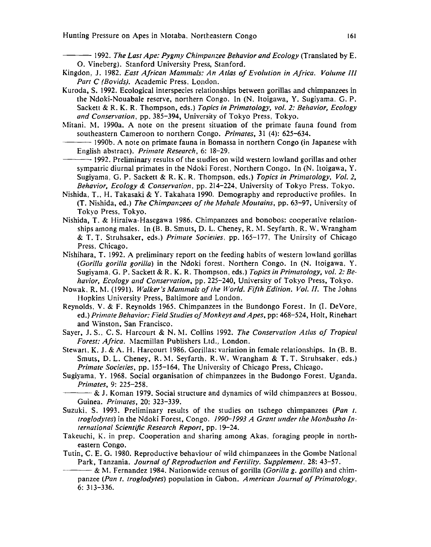--- 1992. *The Lost Ape: Pygmy Chimpanzee Behavior and Ecology* (Translated by E. 0. Vincberg). Stanford University Press, Stanford.

- Kingdon, J. 1982. *East African Mammals: An Atlas of Evolution in Africa. Volume III Parr C (Bovids).* Academic Press, London.
- Kuroda, S. 1992. Ecological interspecies relationships between gorillas and chimpanzees in the Ndoki-Nouabale reserve, northern Congo. In (N. ltoigawa, Y. Sugiyama. G. P. Sackett & R. K. R. Thompson, eds.) *Topics in Primatology, vol. 2: Behavior, Ecology*  and Conservation, pp. 385-394, University of Tokyo Press, Tokyo.
- Mitani. M. 1990a. A note on the present situation of the primate fauna found from southeastern Cameroon to northern Congo. *Primates,* 31 (4): 625-634.

-1990b. A note on primate fauna in Bomassa in northern Congo (in Japanese with English abstract). *Primate Research,* 6: 18-29.

- -1992. Preliminary results of the studies on wild western lowland gorillas and other sympatric diurnal primates in the Ndoki Forest, Northern Congo. In (N. Itoigawa, Y. Sugiyama. G. P. Sackett & R. K. R. Thompson, eds.) *Topics in Primatology, Vol. 2, Behavior, Ecology* & *Conservation,* pp. 214-224, University of Tokyo Press, Tokyo.
- Nishida, T., H. Takasaki & Y. Takahata 1990. Demography and reproductive profiles. In (T. Nishida, ed.) *The Chimpanzees of the Mahole Moutoins,* pp. 63-97, University of Tokyo Press, Tokyo.
- Nishida, T. & Hiraiwa-Hasegawa 1986. Chimpanzees and bonobos: cooperative relationships among males. In  $(B, B, S$ muts, D. L. Cheney, R. M. Seyfarth, R. W. Wrangham & T. T. Struhsaker, eds.) *Primate Socielies,* pp. 165-177, The Unirsity of Chicago Press. Chicago.
- Nishihara, T. 1992. A preliminary report on the feeding habits of western lowland gorillas *(Gorilla gorilla gorilla)* in the Ndoki forest. Northern Congo. In (N. ltoigawa. Y. Sugiyama. G. P. Sackett & R. K. R. Thompson, eds.) *Topics in Primatology, vol. 2: Behavior, Ecology and Conservation,* pp. 225-240, University of Tokyo Press, Tokyo.
- Nowak, R. M. (1991). *Walker's Mammals of the World. Fifth Edition. Vol. II.* The Johns Hopkins University Press, Baltimore and London.
- Reynolds, V. & F. Reynolds 1965. Chimpanzees in the Bundongo Forest. In (I. DeVore, ed.) *Primate Behavior: Field Studies of Monkeys and Apes,* pp: 468-524, Holt, Rinehart and Winston, San Francisco.
- Sayer, J. S., C. S. Harcourt & N. M. Collins 1992. *The Conservation Atlas of Tropical* Forest: Africa. Macmillan Publishers Ltd., London.
- Stewart. K. J. & A. H. Harcourt 1986. Gorillas: variation in female relationships. In (B. B. Smuts, D. L. Cheney, R. M. Seyfarth. R. W. Wrangham & T. T. Struhsaker, eds.) *Primate Societies, pp. 155-164, The University of Chicago Press, Chicago.*
- Sugiyama, Y. 1968. Social organisation of chimpanzees in the Budongo Forest, Uganda. *Primates,* 9: 225-258.
- $-$  & J. Koman 1979. Social structure and dynamics of wild chimpanzees at Bossou, Guinea. *Primates,* 20: 323-339.
- Suzuki. S. 1993. Preliminary results of the studies on tschego chimpanzees *(Pan t. troglodytes)* in the Ndoki Forest, Congo. *199D-1993 A Grant under the Monbusho In· temational Scientific Research Report,* pp. 19-24.
- Takeuchi, K. in prep. Cooperation and sharing among Akas, foraging people in northeastern Congo.
- Tutin, C. E. G. 1980. Reproductive behaviour of wild chimpanzees in the Gombe National Park, Tanzania. *Journal of Reproduction and Fertility. Supplement.* 28: 43-57.
- ---& M. Fernandez 1984. Nationwide census of gorilla *(Gorilla g. gorilla)* and chimpanzee *(Pan t. troglodytes)* population in Gabon. *American Journal of Primorology.*  6: 313-336.